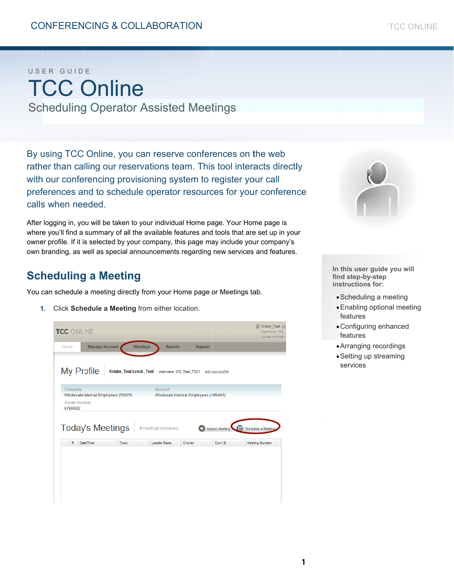# U S ER GUID E TCC Online

Scheduling Operator Assisted Meetings

By using TCC Online, you can reserve conferences on the web rather than calling our reservations team. This tool interacts directly with our conferencing provisioning system to register your call preferences and to schedule operator resources for your conference calls when needed.

After logging in, you will be taken to your individual Home page. Your Home page is where you'll find a summary of all the available features and tools that are set up in your owner profile. If it is selected by your company, this page may include your company's own branding, as well as special announcements regarding new services and features.

# **Scheduling a Meeting**

You can schedule a meeting directly from your Home page or Meetings tab.

1. Click **Schedule a Meeting** from either location.

| TCC ONLINE<br>Home                                             | <b>Manage Account</b>                |              | <b>Meetings</b><br><b>Reports</b>                                                                                    | <b>Support</b> |                            | Username: WS<br>Owner number: 6             |
|----------------------------------------------------------------|--------------------------------------|--------------|----------------------------------------------------------------------------------------------------------------------|----------------|----------------------------|---------------------------------------------|
| <b>My Profile</b><br>Company<br><b>Owner Number</b><br>6796992 | Wholesale Internal Employees (70675) |              | Kristin_Test Lynch_Test Username: WS_Test_TCC1 edit your profile<br>Account<br>Wholesale Internal Employees (195491) |                |                            |                                             |
| R                                                              | <b>Today's Meetings</b><br>Date/Time | <b>Topic</b> | 0 meetings scheduled<br>Leader Name                                                                                  | Owner          | Instant Meeting<br>Conf ID | Schedule a Meeting<br><b>Meeting Number</b> |
|                                                                |                                      |              |                                                                                                                      |                |                            |                                             |



In this user guide you will find step-by-step **ins structions for r:** 

- Scheduling a meeting
- Enabling optional meeting features
- Configuring enhanced features
- Arranging rec cordings
- Setting up streaming services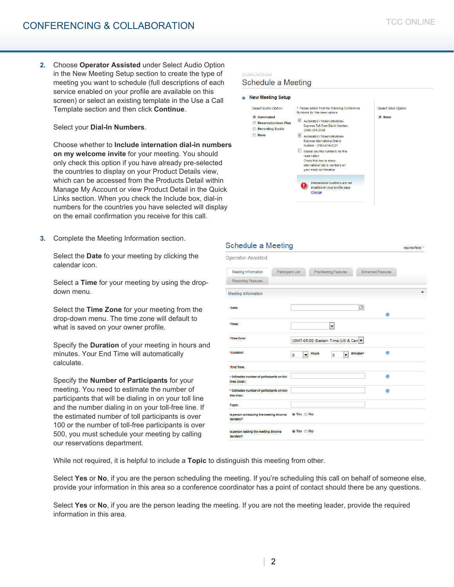### Select your **Dial-In Numbers**.

Choose whether to **Include internation dial-in numbers on my welcome invite** for your meeting. You should only check this option if you have already pre-selected the countries to display on your Product Details view, which can be accessed from the Products Detail within Manage My Account or view Product Detail in the Quick Links section. When you check the Include box, dial-in numbers for the countries you have selected will display on the email confirmation you receive for this call.

**3.** Complete the Meeting Information section.

Select the **Date** fo your meeting by clicking the calendar icon.

Select a **Time** for your meeting by using the dropdown menu.

Select the **Time Zone** for your meeting from the drop-down menu. The time zone will default to what is saved on your owner profile.

Specify the **Duration** of your meeting in hours and minutes. Your End Time will automatically calculate.

Specify the **Number of Participants** for your meeting. You need to estimate the number of participants that will be dialing in on your toll line and the number dialing in on your toll-free line. If the estimated number of toll participants is over 100 or the number of toll-free participants is over 500, you must schedule your meeting by calling our reservations department.

### Schedule a Meeting

| <b>Select Audio Option</b>                                                                    | * Please select from the following Conference                                                                                                                                                                                                       | <b>Select Web Option</b> |
|-----------------------------------------------------------------------------------------------|-----------------------------------------------------------------------------------------------------------------------------------------------------------------------------------------------------------------------------------------------------|--------------------------|
| <b>Automated</b><br>$\circ$<br><b>Reservationless-Plus</b><br><b>Recording Studio</b><br>None | Numbers for this reservations<br>$\blacktriangledown$<br>Automated / Reservationless-<br>Express Toll-Free Dial-In Number:<br>(800)-374-2380<br>V<br>Automated / Reservationless-<br><b>Express International Dial-In</b><br>Number: (706)-634-2321 | O None                   |
|                                                                                               | Enable country numbers for this<br>reservation<br>Check this box to show<br>international dial-in numbers on<br>your email confirmation.                                                                                                            |                          |
|                                                                                               | International numbers are not<br>enabled on your profile page<br>Change                                                                                                                                                                             |                          |

### **Schedule a Meeting**

| <b>Operator Assisted</b>                                     |                                     |                                       |               |                          |
|--------------------------------------------------------------|-------------------------------------|---------------------------------------|---------------|--------------------------|
| Participant List<br><b>Meeting Information</b>               |                                     | <b>Pre-Meeting Features</b>           |               | <b>Enhanced Features</b> |
| <b>Recording Features</b>                                    |                                     |                                       |               |                          |
| Meeting Information                                          |                                     |                                       |               |                          |
| *Date:                                                       |                                     |                                       | ⊡             | $\mathbf{r}$             |
| *Time:                                                       |                                     | $\overline{\phantom{0}}$              |               |                          |
| *Time Zone:                                                  |                                     | (GMT-05:00) Eastern Time (US & Can. ▼ |               |                          |
| *Duration:                                                   | $\overline{\phantom{a}}$<br>$\circ$ | <b>Hours</b><br>o                     | Minutes=<br>٠ | $\bullet$                |
| *End Time:                                                   |                                     |                                       |               |                          |
| * Estimated number of participants on toll<br>lines (local): |                                     |                                       |               | $\mathbf{r}$             |
| * Estimated number of participants on toll-<br>free lines:   |                                     |                                       |               | ÷                        |
| Topic:                                                       |                                     |                                       |               |                          |
| Is person scheduling the meeting Shonna<br>Sanders?          | <b>©</b> Yes ⊜ No                   |                                       |               |                          |
| is person leading the meeting Shonna<br>Sanders?             | © Yes ⊜ No                          |                                       |               |                          |

While not required, it is helpful to include a **Topic** to distinguish this meeting from other.

Select Yes or No, if you are the person scheduling the meeting. If you're scheduling this call on behalf of someone else, provide your information in this area so a conference coordinator has a point of contact should there be any questions.

Select **Yes** or **No**, if you are the person leading the meeting. If you are not the meeting leader, provide the required information in this area.

regulred fields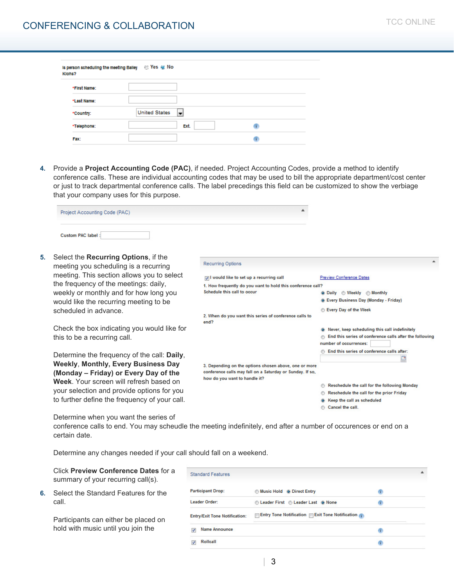| Klohs?       | Is person scheduling the meeting Balley (8) Yes (8) No |   |  |
|--------------|--------------------------------------------------------|---|--|
| *First Name: |                                                        |   |  |
| *Last Name:  |                                                        |   |  |
| *Country:    | <b>United States</b><br>$\left  \frac{1}{2} \right $   |   |  |
| *Telephone:  | Ext.                                                   |   |  |
| Fax:         |                                                        | т |  |

**4.** Provide a **Project Accounting Code (PAC)**, if needed. Project Accounting Codes, provide a method to identify conference calls. These are individual accounting codes that may be used to bill the appropriate department/cost center or just to track departmental conference calls. The label precedings this field can be customized to show the verbiage that your company uses for this purpose.

**Recurring Options** 

end?

Schedule this call to occur

| Project Accounting Code (PAC) |  |
|-------------------------------|--|
| <b>Custom PAC label:</b>      |  |

IV I would like to set up a recurring call

1. How frequently do you want to hold this conference call?

2. When do you want this series of conference calls to

3. Depending on the options chosen above, one or more conference calls may fall on a Saturday or Sunday. If so,

**5.** Select the **Recurring Options**, if the meeting you scheduling is a recurring meeting. This section allows you to select the frequency of the meetings: daily, weekly or monthly and for how long you would like the recurring meeting to be scheduled in advance.

Check the box indicating you would like for this to be a recurring call.

Determine the frequency of the call: **Daily**, **Weekly**, **Monthly, Every Business Day (Monday – Friday) or Every Day of the Week**. Your screen will refresh based on your selection and provide options for you to further define the frequency of your call.

Determine when you want the series of

conference calls to end. You may scheudle the meeting indefinitely, end after a number of occurences or end on a certain date.

how do you want to handle it?

Determine any changes needed if your call should fall on a weekend.

Click **Preview Conference Dates** for a summary of your recurring call(s).

**6.** Select the Standard Features for the call.

> Participants can either be placed on hold with music until you join the

| <b>Participant Drop:</b>             | <b>Music Hold @ Direct Entry</b>                             | Œ  |
|--------------------------------------|--------------------------------------------------------------|----|
| Leader Order:                        | C Leader First C Leader Last @ None                          |    |
| <b>Entry/Exit Tone Notification:</b> | $\Box$ Entry Tone Notification $\Box$ Exit Tone Notification |    |
| Name Announce<br>V                   |                                                              |    |
| Rollcall<br>$\overline{\mathbf{v}}$  |                                                              | n. |

**Preview Conference Dates** 

**Every Day of the Week** 

number of occurrences:

@ Daily @ Weekly @ Monthly @ Every Business Day (Monday - Friday)

(6) Never, keep scheduling this call indefinitely **End this series of conference calls after the following** 

n End this series of conference calls after:

Reschedule the call for the following Monday Reschedule the call for the prior Friday @ Keep the call as scheduled Cancel the call.

 $\square$ 

| 3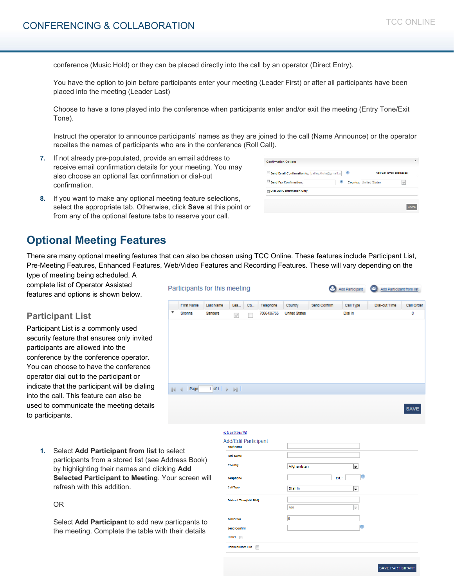conference (Music Hold) or they can be placed directly into the call by an operator (Direct Entry).

You have the option to join before participants enter your meeting (Leader First) or after all participants have been placed into the meeting (Leader Last)

Choose to have a tone played into the conference when participants enter and/or exit the meeting (Entry Tone/Exit Tone).

Instruct the operator to announce participants' names as they are joined to the call (Name Announce) or the operator receites the names of participants who are in the conference (Roll Call).

- **7.** If not already pre-populated, provide an email address to receive email confirmation details for your meeting. You may also choose an optional fax confirmation or dial-out confirmation.
- **8.** If you want to make any optional meeting feature selections, select the appropriate tab. Otherwise, click **Save** at this point or from any of the optional feature tabs to reserve your call.

| <b>Confirmation Options</b>                       |                                                           |  |
|---------------------------------------------------|-----------------------------------------------------------|--|
| Send Email Confirmation to: bailey.klohs@gmail.co | Add/Edit email addresses<br>$\bullet$                     |  |
| Send Fax Confirmation:<br>a                       | <b>Country: United States</b><br>$\overline{\phantom{a}}$ |  |
| <b>Dial-Out Confirmation Only</b>                 |                                                           |  |

# **Optional Meeting Features**

There are many optional meeting features that can also be chosen using TCC Online. These features include Participant List, Pre-Meeting Features, Enhanced Features, Web/Video Features and Recording Features. These will vary depending on the

type of meeting being scheduled. A complete list of Operator Assisted features and options is shown below.

# **Participant List**

Participant List is a commonly used security feature that ensures only invited participants are allowed into the conference by the conference operator. You can choose to have the conference operator dial out to the participant or indicate that the participant will be dialing into the call. This feature can also be used to communicate the meeting details to participants.

> **1.** Select **Add Participant from list** to select participants from a stored list (see Address Book) by highlighting their names and clicking **Add Selected Participant to Meeting**. Your screen will refresh with this addition.

### OR

Select **Add Participant** to add new particpants to the meeting. Complete the table with their details

|                           |                   | Participants for this meeting                                      |                                                  |      |            |                      |              | Add Participant | $\mathbb{C}$<br>Add Participant from list |            |
|---------------------------|-------------------|--------------------------------------------------------------------|--------------------------------------------------|------|------------|----------------------|--------------|-----------------|-------------------------------------------|------------|
|                           | <b>First Name</b> | Last Name                                                          | Lea                                              | Co., | Telephone  | Country              | Send Confirm | Call Type       | <b>Dial-out Time</b>                      | Call Order |
| $\boldsymbol{\mathrm{v}}$ | Shonna            | Sanders                                                            | $\mathcal{J}$                                    |      | 7066436755 | <b>United States</b> |              | <b>Dial in</b>  |                                           | ٥          |
|                           |                   |                                                                    |                                                  |      |            |                      |              |                 |                                           |            |
|                           |                   |                                                                    |                                                  |      |            |                      |              |                 |                                           |            |
|                           |                   |                                                                    |                                                  |      |            |                      |              |                 |                                           |            |
|                           |                   |                                                                    |                                                  |      |            |                      |              |                 |                                           |            |
|                           |                   |                                                                    |                                                  |      |            |                      |              |                 |                                           |            |
|                           |                   |                                                                    |                                                  |      |            |                      |              |                 |                                           |            |
|                           |                   |                                                                    |                                                  |      |            |                      |              |                 |                                           |            |
| 44                        | Page              | $1$ of $1$ $\rightarrow$ $\rightarrow$ $\rightarrow$ $\rightarrow$ |                                                  |      |            |                      |              |                 |                                           |            |
|                           |                   |                                                                    |                                                  |      |            |                      |              |                 |                                           |            |
|                           |                   |                                                                    |                                                  |      |            |                      |              |                 |                                           | SAVE       |
|                           |                   |                                                                    |                                                  |      |            |                      |              |                 |                                           |            |
|                           |                   |                                                                    | go to participant list                           |      |            |                      |              |                 |                                           |            |
|                           |                   |                                                                    | <b>Add/Edit Participant</b><br><b>First Name</b> |      |            |                      |              |                 |                                           |            |
| aloot                     |                   |                                                                    |                                                  |      |            |                      |              |                 |                                           |            |

| Add/Edit Participant<br><b>First Name</b> |                                         |  |
|-------------------------------------------|-----------------------------------------|--|
| <b>Last Name</b>                          |                                         |  |
| Country                                   | Afghanistan<br>$\overline{\phantom{a}}$ |  |
| Telephone                                 | ۱Œ<br>Ext.:                             |  |
| Call Type                                 | Dial In<br>$\vert$ ,                    |  |
| Dial-out Time (HH:MM)                     |                                         |  |
|                                           | AM<br>$\overline{\phantom{a}}$          |  |
| <b>Call Order</b>                         | o                                       |  |
| <b>Send Confirm</b>                       | $\oplus$                                |  |
| Leader<br>$\mathbb{R}^m$                  |                                         |  |
| Communication Line<br>$\equiv$            |                                         |  |
|                                           |                                         |  |

SAVE PARTICIPANT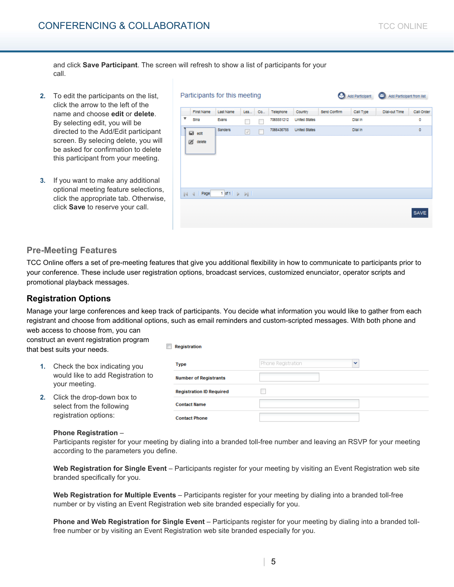and click **Save Participant**. The screen will refresh to show a list of participants for your call.

- **2.** To edit the participants on the list, click the arrow to the left of the name and choose **edit** or **delete**. By selecting edit, you will be directed to the Add/Edit participant screen. By selecing delete, you will be asked for confirmation to delete this participant from your meeting.
- **3.** If you want to make any additional optional meeting feature selections, click the appropriate tab. Otherwise, click **Save** to reserve your call.

| Participants for this meeting |                                                                  |     |    |            |                      |              | Add Participant | Add Participant from list<br>$\bullet$ |             |
|-------------------------------|------------------------------------------------------------------|-----|----|------------|----------------------|--------------|-----------------|----------------------------------------|-------------|
| First Name                    | Last Name                                                        | Lea | Co | Telephone  | Country              | Send Confirm | Call Type       | <b>Dial-out Time</b>                   | Call Order  |
| ▼<br>Sina                     | Evans                                                            |     |    | 7065551212 | <b>United States</b> |              | <b>Dial in</b>  |                                        | ٥           |
| <b>⊠</b> edit                 | Sanders                                                          | V   |    | 7066436755 | <b>United States</b> |              | <b>Dial in</b>  |                                        | 0           |
| ø<br>delete                   |                                                                  |     |    |            |                      |              |                 |                                        |             |
| Page                          | $1$ of $1$ $\rightarrow$ $\rightarrow$ $\rightarrow$ $\parallel$ |     |    |            |                      |              |                 |                                        |             |
|                               |                                                                  |     |    |            |                      |              |                 |                                        | <b>SAVE</b> |

# **Pre-Meeting Features**

TCC Online offers a set of pre-meeting features that give you additional flexibility in how to communicate to participants prior to your conference. These include user registration options, broadcast services, customized enunciator, operator scripts and promotional playback messages.

# **Registration Options**

Manage your large conferences and keep track of participants. You decide what information you would like to gather from each registrant and choose from additional options, such as email reminders and custom-scripted messages. With both phone and

Registration

web access to choose from, you can construct an event registration program that best suits your needs.

- **1.** Check the box indicating you would like to add Registration to your meeting.
- **2.** Click the drop-down box to select from the following registration options:

| <b>Type</b>                     | Phone Registration<br>v |
|---------------------------------|-------------------------|
| <b>Number of Registrants</b>    |                         |
| <b>Registration ID Required</b> |                         |
| <b>Contact Name</b>             |                         |
| <b>Contact Phone</b>            |                         |

### **Phone Registration** –

Participants register for your meeting by dialing into a branded toll-free number and leaving an RSVP for your meeting according to the parameters you define.

**Web Registration for Single Event** – Participants register for your meeting by visiting an Event Registration web site branded specifically for you.

**Web Registration for Multiple Events** – Participants register for your meeting by dialing into a branded toll-free number or by visting an Event Registration web site branded especially for you.

**Phone and Web Registration for Single Event** – Participants register for your meeting by dialing into a branded tollfree number or by visiting an Event Registration web site branded especially for you.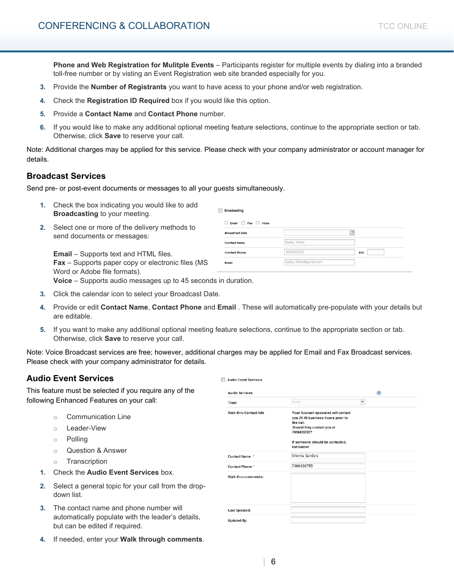**Phone and Web Registration for Mulitple Events** – Participants register for multiple events by dialing into a branded toll-free number or by visting an Event Registration web site branded especially for you.

- **3.** Provide the **Number of Registrants** you want to have acess to your phone and/or web registration.
- **4.** Check the **Registration ID Required** box if you would like this option.
- **5.** Provide a **Contact Name** and **Contact Phone** number.
- **6.** If you would like to make any additional optional meeting feature selections, continue to the appropriate section or tab. Otherwise, click **Save** to reserve your call.

Note: Additional charges may be applied for this service. Please check with your company administrator or account manager for details.

### **Broadcast Services**

Send pre- or post-event documents or messages to all your guests simultaneously.

- **1.** Check the box indicating you would like to add **Broadcasting** to your meeting.
- **2.** Select one or more of the delivery methods to send documents or messages:

**Email** – Supports text and HTML files. **Fax** – Supports paper copy or electronic files (MS Word or Adobe file formats).

| Email Fax Volce       |                        |     |
|-----------------------|------------------------|-----|
| <b>BroadCast Date</b> |                        |     |
| <b>Contact Name</b>   | <b>Bailey Klohs</b>    |     |
| <b>Contact Phone</b>  | 3034107532             | Ext |
| Email                 | bailey.klohs@gmail.com |     |

**Voice** – Supports audio messages up to 45 seconds in duration.

- **3.** Click the calendar icon to select your Broadcast Date.
- **4.** Provide or edit **Contact Name**, **Contact Phone** and **Email** . These will automatically pre-populate with your details but are editable.

Audio Event Services

**5.** If you want to make any additional optional meeting feature selections, continue to the appropriate section or tab. Otherwise, click **Save** to reserve your call.

Note: Voice Broadcast services are free; however, additional charges may be applied for Email and Fax Broadcast services. Please check with your company administrator for details.

# **Audio Event Services**

This feature must be selected if you require any of the following Enhanced Features on your call:

- o Communication Line
- o Leader-View
- o Polling
- o Question & Answer
- o Transcription
- **1.** Check the **Audio Event Services** box.
- **2.** Select a general topic for your call from the dropdown list.
- **3.** The contact name and phone number will automatically populate with the leader's details, but can be edited if required.
- **4.** If needed, enter your **Walk through comments**.

| <b>Audio Services</b>          |                                                                                                                                                                        | œ |
|--------------------------------|------------------------------------------------------------------------------------------------------------------------------------------------------------------------|---|
|                                |                                                                                                                                                                        |   |
| <b>Topic</b>                   | None<br>v                                                                                                                                                              |   |
| <b>Walk thru Contact Info.</b> | Your Account specialist will contact<br>you 24-48 business hours prior to<br>the call.<br>Should they contact you at<br>7066436755?<br>If someone should be contacted, |   |
|                                | list below:                                                                                                                                                            |   |
| Contact Name *                 | <b>Shonna Sanders</b>                                                                                                                                                  |   |
| <b>Contact Phone *</b>         | 7066436755                                                                                                                                                             |   |
| Walk thru comments:            |                                                                                                                                                                        |   |
| <b>Last Updated:</b>           |                                                                                                                                                                        |   |
| <b>Updated By:</b>             |                                                                                                                                                                        |   |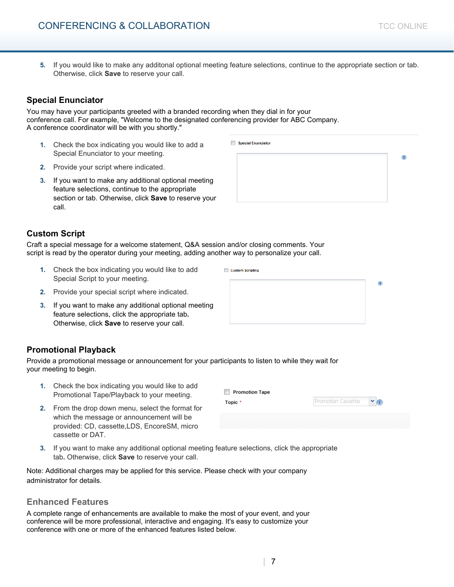**5.** If you would like to make any additonal optional meeting feature selections, continue to the appropriate section or tab. Otherwise, click **Save** to reserve your call.

Special Enunciator

**Custom Scripting** 

# **Special Enunciator**

You may have your participants greeted with a branded recording when they dial in for your conference call. For example, "Welcome to the designated conferencing provider for ABC Company. A conference coordinator will be with you shortly."

- **1.** Check the box indicating you would like to add a Special Enunciator to your meeting.
- **2.** Provide your script where indicated.
- **3.** If you want to make any additional optional meeting feature selections, continue to the appropriate section or tab. Otherwise, click **Save** to reserve your call.

# **Custom Script**

Craft a special message for a welcome statement, Q&A session and/or closing comments. Your script is read by the operator during your meeting, adding another way to personalize your call.

- **1.** Check the box indicating you would like to add Special Script to your meeting.
- **2.** Provide your special script where indicated.
- **3.** If you want to make any additional optional meeting feature selections, click the appropriate tab**.**  Otherwise, click **Save** to reserve your call.

# **Promotional Playback**

Provide a promotional message or announcement for your participants to listen to while they wait for your meeting to begin.

- **1.** Check the box indicating you would like to add Promotional Tape/Playback to your meeting.
- **2.** From the drop down menu, select the format for which the message or announcement will be provided: CD, cassette,LDS, EncoreSM, micro cassette or DAT.
- **3.** If you want to make any additional optional meeting feature selections, click the appropriate tab**.** Otherwise, click **Save** to reserve your call.

Note: Additional charges may be applied for this service. Please check with your company administrator for details.

### **Enhanced Features**

A complete range of enhancements are available to make the most of your event, and your conference will be more professional, interactive and engaging. It's easy to customize your conference with one or more of the enhanced features listed below.

| 7

 $\overline{1}$ 



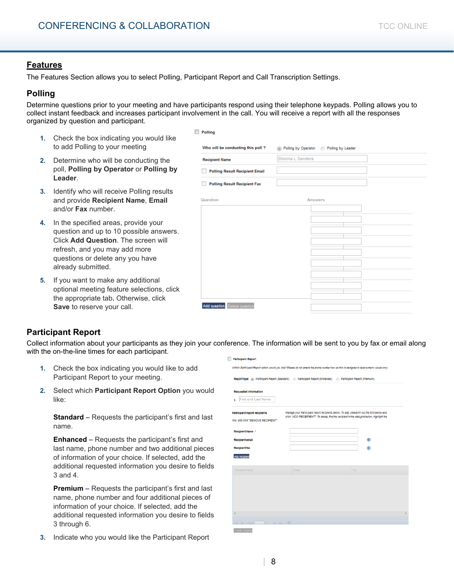# **Features**

The Features Section allows you to select Polling, Participant Report and Call Transcription Settings.

# **Polling**

Determine questions prior to your meeting and have participants respond using their telephone keypads. Polling allows you to collect instant feedback and increases participant involvement in the call. You will receive a report with all the responses organized by question and participant.

- **1.** Check the box indicating you would like to add Polling to your meeting
- **2.** Determine who will be conducting the poll, **Polling by Operator** or **Polling by Leader**.
- **3.** Identify who will receive Polling results and provide **Recipient Name**, **Email**  and/or **Fax** number.
- **4.** In the specified areas, provide your question and up to 10 possible answers. Click **Add Question**. The screen will refresh, and you may add more questions or delete any you have already submitted.
- **5.** If you want to make any additional optional meeting feature selections, click the appropriate tab**.** Otherwise, click **Save** to reserve your call.

|                                       | Shonna L Sanders |         |  |
|---------------------------------------|------------------|---------|--|
| <b>Recipient Name</b>                 |                  |         |  |
| <b>Polling Result Recipient Email</b> |                  |         |  |
| <b>Polling Result Recipient Fax</b>   |                  |         |  |
|                                       |                  |         |  |
| Question                              |                  | Answers |  |
|                                       |                  |         |  |
|                                       |                  |         |  |
|                                       |                  |         |  |
|                                       |                  |         |  |
|                                       |                  |         |  |
|                                       |                  |         |  |
|                                       |                  |         |  |
|                                       |                  |         |  |
|                                       |                  |         |  |
|                                       |                  |         |  |

# **Participant Report**

Collect information about your participants as they join your conference. The information will be sent to you by fax or email along with the on-the-line times for each participant. Participant Report

- **1.** Check the box indicating you would like to add Participant Report to your meeting.
- **2.** Select which **Participant Report Option** you would like:

**Standard –** Requests the participant's first and last name.

**Enhanced –** Requests the participant's first and last name, phone number and two additional pieces of information of your choice. If selected, add the additional requested information you desire to fields 3 and 4.

**Premium –** Requests the participant's first and last name, phone number and four additional pieces of information of your choice. If selected, add the additional requested information you desire to fields 3 through 6.

**3.** Indicate who you would like the Participant Report

| Which Participant Report option would you like? Please do not amend the phone number box as this is designed to take numeric values only. |                                                                                                                                                                                            |     |   |  |
|-------------------------------------------------------------------------------------------------------------------------------------------|--------------------------------------------------------------------------------------------------------------------------------------------------------------------------------------------|-----|---|--|
| Report type (b) Participant Report (Standard) (b) Participant Report (Enhanced) (b) Participant Report (Premium)                          |                                                                                                                                                                                            |     |   |  |
| <b>Requested Information</b><br>First and Last Name<br>1.                                                                                 |                                                                                                                                                                                            |     |   |  |
| Participant report recipients<br>row, and click "REMOVE RECIPIENT".                                                                       | Manage your Participant report recipients below. To add, please fill out the form below and<br>click "ADD RECEIPIENT". To delete, find the recipient in the data grid below, highlight the |     |   |  |
| Recipient Name *                                                                                                                          |                                                                                                                                                                                            |     |   |  |
| <b>Recipient email</b>                                                                                                                    |                                                                                                                                                                                            |     | œ |  |
| <b>Recipient fax</b>                                                                                                                      |                                                                                                                                                                                            |     | œ |  |
| Add recipient                                                                                                                             |                                                                                                                                                                                            |     |   |  |
| Recipient Name                                                                                                                            | Emall                                                                                                                                                                                      | Fax |   |  |
|                                                                                                                                           |                                                                                                                                                                                            |     |   |  |
|                                                                                                                                           |                                                                                                                                                                                            |     |   |  |
|                                                                                                                                           |                                                                                                                                                                                            |     |   |  |
|                                                                                                                                           |                                                                                                                                                                                            |     |   |  |
| 4                                                                                                                                         |                                                                                                                                                                                            |     |   |  |
| $1$ of $5$ $\frac{1}{2}$                                                                                                                  |                                                                                                                                                                                            |     |   |  |
| Page.<br>Oabste recloten                                                                                                                  |                                                                                                                                                                                            |     |   |  |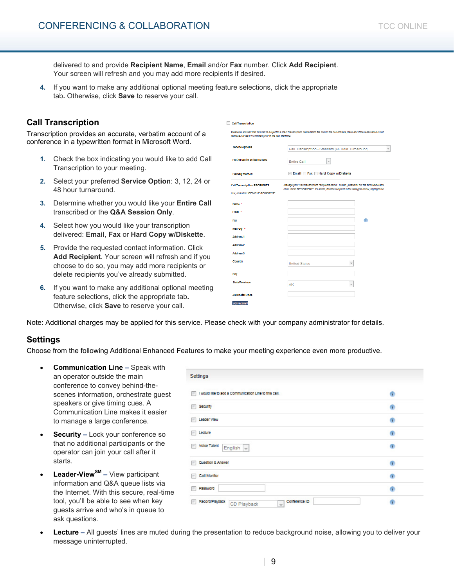delivered to and provide **Recipient Name**, **Email** and/or **Fax** number. Click **Add Recipient**. Your screen will refresh and you may add more recipients if desired.

**4.** If you want to make any additional optional meeting feature selections, click the appropriate tab**.** Otherwise, click **Save** to reserve your call.

### **Call Transcription**

Transcription provides an accurate, verbatim account of a conference in a typewritten format in Microsoft Word.

- **1.** Check the box indicating you would like to add Call Transcription to your meeting.
- **2.** Select your preferred **Service Option**: 3, 12, 24 or 48 hour turnaround.
- **3.** Determine whether you would like your **Entire Call**  transcribed or the **Q&A Session Only**.
- **4.** Select how you would like your transcription delivered: **Email**, **Fax** or **Hard Copy w/Diskette**.
- **5.** Provide the requested contact information. Click **Add Recipient**. Your screen will refresh and if you choose to do so, you may add more recipients or delete recipients you've already submitted.
- **6.** If you want to make any additional optional meeting feature selections, click the appropriate tab**.**  Otherwise, click **Save** to reserve your call.

| <b>Call Transcription</b>                                                  |                                                                                                                                                                                            |
|----------------------------------------------------------------------------|--------------------------------------------------------------------------------------------------------------------------------------------------------------------------------------------|
| cancelled at least 15 minutes prior to the call start time.                | Please be advised that this call is subject to a Call Transcription cancellation fee should the call not take place and if the reservation is not                                          |
| <b>Service options</b>                                                     | Call Transcription - Standard (48 Hour Turnaround)<br>$\overline{\phantom{a}}$                                                                                                             |
| Part of call to be transcribed                                             | Entire Call<br>$\overline{\mathbf{v}}$                                                                                                                                                     |
| Delivery method                                                            | Email Fax Hard Copy w/Diskette                                                                                                                                                             |
| <b>Call Transcription RECIPIENTS</b><br>row, and click "REMOVE RECIPIENT". | Manage your Call transcription recipients below. To add, please fill out the form below and<br>click "ADD RECEIPIENT". To delete, find the recipient in the data grid below, highlight the |
|                                                                            |                                                                                                                                                                                            |
| Name *                                                                     |                                                                                                                                                                                            |
| Email *                                                                    |                                                                                                                                                                                            |
| Fax                                                                        | œ                                                                                                                                                                                          |
| Mall Qty +                                                                 |                                                                                                                                                                                            |
| <b>Address 1</b>                                                           |                                                                                                                                                                                            |
| Address 2                                                                  |                                                                                                                                                                                            |
| <b>Address 3</b>                                                           |                                                                                                                                                                                            |
| Country                                                                    | <b>United States</b><br>$\overline{\phantom{a}}$                                                                                                                                           |
| City                                                                       |                                                                                                                                                                                            |
| <b>State/Province</b>                                                      | AK<br>$\overline{\phantom{a}}$                                                                                                                                                             |
| <b>ZIP/Postal Code</b>                                                     |                                                                                                                                                                                            |
| Add recibien                                                               |                                                                                                                                                                                            |

Note: Additional charges may be applied for this service. Please check with your company administrator for details.

### **Settings**

Choose from the following Additional Enhanced Features to make your meeting experience even more productive.

- **Communication Line** Speak with an operator outside the main conference to convey behind-thescenes information, orchestrate guest speakers or give timing cues. A Communication Line makes it easier to manage a large conference.
- **Security Lock your conference so** that no additional participants or the operator can join your call after it starts.
- **Leader-ViewSM** View participant information and Q&A queue lists via the Internet. With this secure, real-time tool, you'll be able to see when key guests arrive and who's in queue to ask questions.

| Settings                                                                                |                      |
|-----------------------------------------------------------------------------------------|----------------------|
| I would like to add a Communication Line to this call.                                  | $\hat{1}$            |
| <b>Security</b>                                                                         | Ð                    |
| <b>E Leader View</b>                                                                    | $\ddot{\phantom{a}}$ |
| <b>E</b> Lecture                                                                        | $\mathbf{r}$         |
| <b>Nolde Talent</b><br>English $\vert \hspace{-.06cm} \downarrow \hspace{-.08cm} \vert$ | Ð                    |
| Question & Answer                                                                       | œ                    |
| Call Monitor                                                                            | $\oplus$             |
| Password                                                                                | G)                   |
| Record/Playback<br>Conference ID<br>CD Playback<br>$\overline{\phantom{a}}$             | $\ddot{\phantom{a}}$ |

• **Lecture –** All guests' lines are muted during the presentation to reduce background noise, allowing you to deliver your message uninterrupted.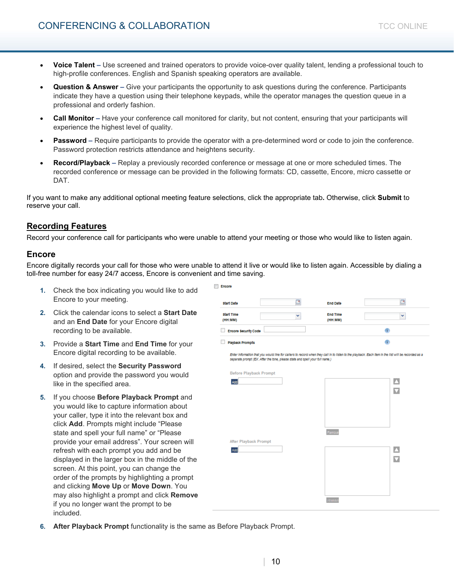- **Question & Answer** Give your participants the opportunity to ask questions during the conference. Participants indicate they have a question using their telephone keypads, while the operator manages the question queue in a professional and orderly fashion.
- **Call Monitor** Have your conference call monitored for clarity, but not content, ensuring that your participants will experience the highest level of quality.
- **Password** Require participants to provide the operator with a pre-determined word or code to join the conference. Password protection restricts attendance and heightens security.
- **Record/Playback** Replay a previously recorded conference or message at one or more scheduled times. The recorded conference or message can be provided in the following formats: CD, cassette, Encore, micro cassette or DAT.

If you want to make any additional optional meeting feature selections, click the appropriate tab**.** Otherwise, click **Submit** to reserve your call.

# **Recording Features**

Record your conference call for participants who were unable to attend your meeting or those who would like to listen again.

### **Encore**

Encore digitally records your call for those who were unable to attend it live or would like to listen again. Accessible by dialing a toll-free number for easy 24/7 access, Encore is convenient and time saving.

Encore

- **1.** Check the box indicating you would like to add Encore to your meeting.
- **2.** Click the calendar icons to select a **Start Date**  and an **End Date** for your Encore digital recording to be available.
- **3.** Provide a **Start Time** and **End Time** for your Encore digital recording to be available.
- **4.** If desired, select the **Security Password**  option and provide the password you would like in the specified area.
- **5.** If you choose **Before Playback Prompt** and you would like to capture information about your caller, type it into the relevant box and click **Add**. Prompts might include "Please state and spell your full name" or "Please provide your email address". Your screen will refresh with each prompt you add and be displayed in the larger box in the middle of the screen. At this point, you can change the order of the prompts by highlighting a prompt and clicking **Move Up** or **Move Down**. You may also highlight a prompt and click **Remove**  if you no longer want the prompt to be included.

| <b>Start Date</b>                                                                                             | B | <b>End Date</b>            | ఆ                                                                                                                                                    |
|---------------------------------------------------------------------------------------------------------------|---|----------------------------|------------------------------------------------------------------------------------------------------------------------------------------------------|
| <b>Start Time</b><br>(HH:MM)                                                                                  | v | <b>End Time</b><br>(HH:MM) | ×                                                                                                                                                    |
| <b>Encore Security Code</b>                                                                                   |   |                            | œ                                                                                                                                                    |
| <b>Playback Prompts</b>                                                                                       |   |                            | œ                                                                                                                                                    |
| separate prompt (EX. After the tone, please state and spell your full name.)<br><b>Before Playback Prompt</b> |   |                            | Enter Information that you would like for callers to record when they call in to listen to the playback. Each Item in the list will be recorded as a |
| Add                                                                                                           |   |                            | $\Delta$<br>$\overline{\mathbf{M}}$                                                                                                                  |
| <b>After Playback Prompt</b>                                                                                  |   | Remove                     |                                                                                                                                                      |
| Add                                                                                                           |   |                            | $\Delta$<br>$\overline{\mathbf{u}}$                                                                                                                  |
|                                                                                                               |   | i čanova                   |                                                                                                                                                      |

**After Playback Prompt** functionality is the same as Before Playback Prompt.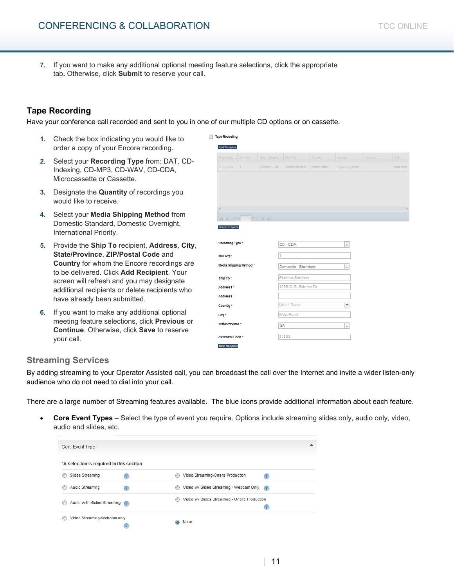**7.** If you want to make any additional optional meeting feature selections, click the appropriate tab**.** Otherwise, click **Submit** to reserve your call.

# **Tape Recording**

Have your conference call recorded and sent to you in one of our multiple CD options or on cassette.

- **1.** Check the box indicating you would like to order a copy of your Encore recording.
- **2.** Select your **Recording Type** from: DAT, CD-Indexing, CD-MP3, CD-WAV, CD-CDA, Microcassette or Cassette.
- **3.** Designate the **Quantity** of recordings you would like to receive.
- **4.** Select your **Media Shipping Method** from Domestic Standard, Domestic Overnight, International Priority.
- **5.** Provide the **Ship To** recipient, **Address**, **City**, **State/Province**, **ZIP/Postal Code** and **Country** for whom the Encore recordings are to be delivered. Click **Add Recipient**. Your screen will refresh and you may designate additional recipients or delete recipients who have already been submitted.
- **6.** If you want to make any additional optional meeting feature selections, click **Previous** or **Continue**. Otherwise, click **Save** to reserve your call.

| <b>Add Reciplent</b>                                                                                         |               |                                             |          |                          |           |
|--------------------------------------------------------------------------------------------------------------|---------------|---------------------------------------------|----------|--------------------------|-----------|
| Recording<br>Mall Qty                                                                                        | Media Shippin | Ship To                                     | Country. | Address 1                | Address 2 |
| CD-CDA<br>$\rightarrow$                                                                                      |               | Domestic - Sta Shonna Sanders United States |          | 1239 O.G. Skinne         |           |
|                                                                                                              |               |                                             |          |                          |           |
|                                                                                                              |               |                                             |          |                          |           |
|                                                                                                              |               |                                             |          |                          |           |
| 4                                                                                                            |               |                                             |          |                          |           |
| $  4  4  $ Page $  1  $ of $  $ $  $ $  $                                                                    |               |                                             |          |                          |           |
| <b>Delete recipient</b>                                                                                      |               |                                             |          |                          |           |
|                                                                                                              |               |                                             |          |                          |           |
| Recording Type *                                                                                             |               | CD - CDA                                    |          | $\overline{\phantom{a}}$ |           |
|                                                                                                              |               |                                             |          |                          |           |
|                                                                                                              |               |                                             |          |                          |           |
|                                                                                                              | 1             |                                             |          |                          |           |
|                                                                                                              |               | Domestic - Standard                         |          | $\overline{\nabla}$      |           |
|                                                                                                              |               | Shonna Sanders                              |          |                          |           |
|                                                                                                              |               | 1239 O.G. Skinner Dr                        |          |                          |           |
|                                                                                                              |               |                                             |          |                          |           |
|                                                                                                              |               | <b>United States</b>                        |          | Y                        |           |
|                                                                                                              |               |                                             |          |                          |           |
| Mall Oty *<br>Media Shipping Method *<br>Ship To *<br>Address 1 *<br><b>Address 2</b><br>Country *<br>City * |               | <b>West Point</b>                           |          |                          |           |
| State/Province *                                                                                             | GA            |                                             |          | $\overline{\phantom{a}}$ |           |

# **Streaming Services**

By adding streaming to your Operator Assisted call, you can broadcast the call over the Internet and invite a wider listen-only audience who do not need to dial into your call.

There are a large number of Streaming features available. The blue icons provide additional information about each feature.

• **Core Event Types –** Select the type of event you require. Options include streaming slides only, audio only, video, audio and slides, etc.

| Core Event Type                          |   |                                               |    | ▴ |
|------------------------------------------|---|-----------------------------------------------|----|---|
| *A selection is required in this section |   |                                               |    |   |
| <b>Slides Streaming</b>                  | œ | Video Streaming-Onsite Production             | ï. |   |
| Audio Streaming                          | œ | Video w/ Slides Streaming - Webcam Only       | Œ  |   |
| Audio with Slides Streaming              | C | Video w/ Slides Streaming - Onsite Production | î. |   |
| Video Streaming-Webcam only              |   | None                                          |    |   |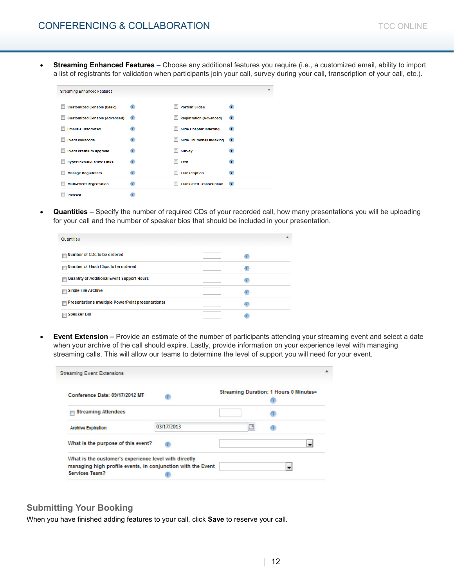• **Streaming Enhanced Features –** Choose any additional features you require (i.e., a customized email, ability to import a list of registrants for validation when participants join your call, survey during your call, transcription of your call, etc.).

| <b>Streaming Enhanced Features</b>   |    |                                 |                |  |
|--------------------------------------|----|---------------------------------|----------------|--|
| <b>Customized Console (Basic)</b>    | T  | <b>Portrait Slides</b>          | $\top$         |  |
| <b>Customized Console (Advanced)</b> | Œ  | <b>Registration (Advanced)</b>  | Œ              |  |
| <b>Emails-Customized</b>             | ÷. | <b>Slide Chapter Indexing</b>   | Œ              |  |
| <b>Event Passcode</b>                | i. | <b>Slide Thumbnail Indexing</b> | Œ              |  |
| <b>Event Premium Upgrade</b>         | T. | <b>Survey</b>                   | T              |  |
| <b>Hyperlinks/URLs/Doc Links</b>     | T. | <b>Test</b>                     | $\top$         |  |
| <b>Manage Registrants</b>            | i. | <b>Transcription</b>            | n.             |  |
| <b>Multi-Event Registration</b>      | T  | <b>Translated Transcription</b> | $\blacksquare$ |  |
| Podcast                              |    |                                 |                |  |

• **Quantities –** Specify the number of required CDs of your recorded call, how many presentations you will be uploading for your call and the number of speaker bios that should be included in your presentation.

| Quantities                                                                    |    |  |
|-------------------------------------------------------------------------------|----|--|
| Number of CDs to be ordered<br>$\blacksquare$                                 | í. |  |
| Number of Flash Clips to be ordered<br>$\blacksquare$                         | ÷. |  |
| <b>Quantity of Additional Event Support Hours</b><br>$\overline{\phantom{a}}$ | ï. |  |
| <b>Single File Archive</b><br>F                                               | í. |  |
| <b>Presentations (multiple PowerPoint presentations)</b><br>m                 | î. |  |
| <b>Speaker Bio</b>                                                            |    |  |

• **Event Extension –** Provide an estimate of the number of participants attending your streaming event and select a date when your archive of the call should expire. Lastly, provide information on your experience level with managing streaming calls. This will allow our teams to determine the level of support you will need for your event.

| <b>Streaming Event Extensions</b>                                             |            |    |                                        |  |
|-------------------------------------------------------------------------------|------------|----|----------------------------------------|--|
| Conference Date: 09/17/2012 MT                                                |            |    | Streaming Duration: 1 Hours 0 Minutes= |  |
| <b>Streaming Attendees</b>                                                    |            |    |                                        |  |
| <b>Archive Expiration</b>                                                     | 03/17/2013 | T9 |                                        |  |
| What is the purpose of this event?                                            |            |    | $\blacksquare$                         |  |
| What is the customer's experience level with directly                         |            |    |                                        |  |
| managing high profile events, in conjunction with the Event<br>Services Team? |            |    | ▼                                      |  |

### **Submitting Your Booking**

When you have finished adding features to your call, click **Save** to reserve your call.